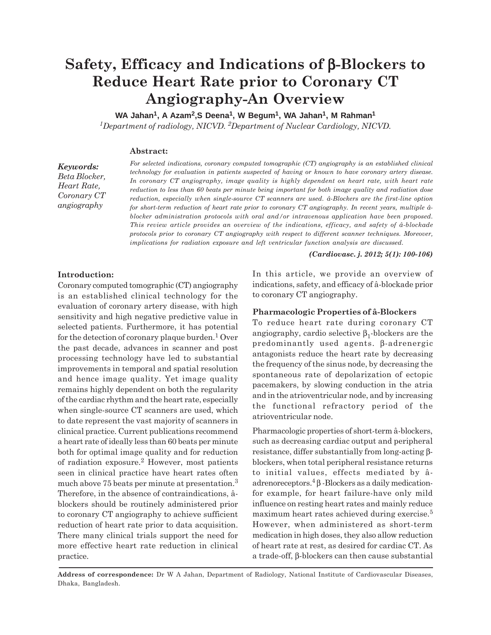# **Safety, Efficacy and Indications of** β**-Blockers to Reduce Heart Rate prior to Coronary CT Angiography-An Overview**

WA Jahan<sup>1</sup>, A Azam<sup>2</sup>, S Deena<sup>1</sup>, W Begum<sup>1</sup>, WA Jahan<sup>1</sup>, M Rahman<sup>1</sup>

*1Department of radiology, NICVD. 2Department of Nuclear Cardiology, NICVD.*

### **Abstract:**

*Keywords: Beta Blocker, Heart Rate, Coronary CT angiography*

*For selected indications, coronary computed tomographic (CT) angiography is an established clinical technology for evaluation in patients suspected of having or known to have coronary artery disease. In coronary CT angiography, image quality is highly dependent on heart rate, with heart rate reduction to less than 60 beats per minute being important for both image quality and radiation dose reduction, especially when single-source CT scanners are used. â-Blockers are the first-line option for short-term reduction of heart rate prior to coronary CT angiography. In recent years, multiple âblocker administration protocols with oral and/or intravenous application have been proposed. This review article provides an overview of the indications, efficacy, and safety of â-blockade protocols prior to coronary CT angiography with respect to different scanner techniques. Moreover, implications for radiation exposure and left ventricular function analysis are discussed.*

*(Cardiovasc. j. 2012; 5(1): 100-106)*

#### **Introduction:**

Coronary computed tomographic (CT) angiography is an established clinical technology for the evaluation of coronary artery disease, with high sensitivity and high negative predictive value in selected patients. Furthermore, it has potential for the detection of coronary plaque burden.<sup>1</sup> Over the past decade, advances in scanner and post processing technology have led to substantial improvements in temporal and spatial resolution and hence image quality. Yet image quality remains highly dependent on both the regularity of the cardiac rhythm and the heart rate, especially when single-source CT scanners are used, which to date represent the vast majority of scanners in clinical practice. Current publications recommend a heart rate of ideally less than 60 beats per minute both for optimal image quality and for reduction of radiation exposure.2 However, most patients seen in clinical practice have heart rates often much above 75 beats per minute at presentation.<sup>3</sup> Therefore, in the absence of contraindications, âblockers should be routinely administered prior to coronary CT angiography to achieve sufficient reduction of heart rate prior to data acquisition. There many clinical trials support the need for more effective heart rate reduction in clinical practice.

In this article, we provide an overview of indications, safety, and efficacy of â-blockade prior to coronary CT angiography.

## **Pharmacologic Properties of â-Blockers**

To reduce heart rate during coronary CT angiography, cardio selective  $\beta_1$ -blockers are the predominantly used agents. β-adrenergic antagonists reduce the heart rate by decreasing the frequency of the sinus node, by decreasing the spontaneous rate of depolarization of ectopic pacemakers, by slowing conduction in the atria and in the atrioventricular node, and by increasing the functional refractory period of the atrioventricular node.

Pharmacologic properties of short-term â-blockers, such as decreasing cardiac output and peripheral resistance, differ substantially from long-acting βblockers, when total peripheral resistance returns to initial values, effects mediated by âadrenoreceptors. ${}^{4}$  $\beta$  -Blockers as a daily medicationfor example, for heart failure-have only mild influence on resting heart rates and mainly reduce maximum heart rates achieved during exercise.<sup>5</sup> However, when administered as short-term medication in high doses, they also allow reduction of heart rate at rest, as desired for cardiac CT. As a trade-off, β-blockers can then cause substantial

**Address of correspondence:** Dr W A Jahan, Department of Radiology, National Institute of Cardiovascular Diseases, Dhaka, Bangladesh.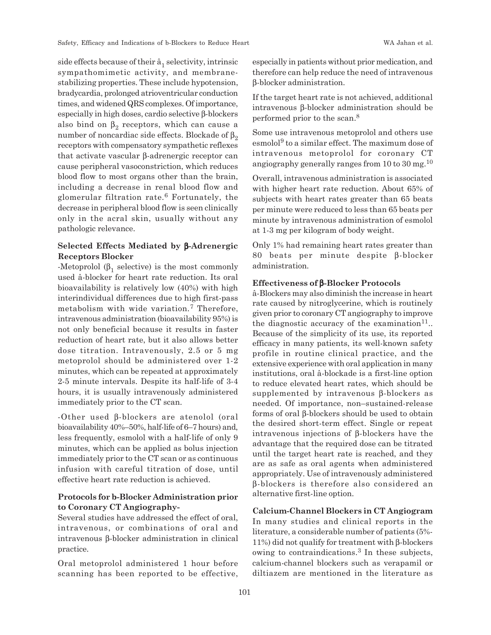side effects because of their  $\hat{a}_1$  selectivity, intrinsic sympathomimetic activity, and membranestabilizing properties. These include hypotension, bradycardia, prolonged atrioventricular conduction times, and widened QRS complexes. Of importance, especially in high doses, cardio selective β-blockers also bind on  $\beta_2$  receptors, which can cause a number of noncardiac side effects. Blockade of  $β_2$ receptors with compensatory sympathetic reflexes that activate vascular β-adrenergic receptor can cause peripheral vasoconstriction, which reduces blood flow to most organs other than the brain, including a decrease in renal blood flow and glomerular filtration rate.6 Fortunately, the decrease in peripheral blood flow is seen clinically only in the acral skin, usually without any pathologic relevance.

## **Selected Effects Mediated by** β**-Adrenergic Receptors Blocker**

-Metoprolol  $(β_1$  selective) is the most commonly used â-blocker for heart rate reduction. Its oral bioavailability is relatively low (40%) with high interindividual differences due to high first-pass metabolism with wide variation.7 Therefore, intravenous administration (bioavailability 95%) is not only beneficial because it results in faster reduction of heart rate, but it also allows better dose titration. Intravenously, 2.5 or 5 mg metoprolol should be administered over 1-2 minutes, which can be repeated at approximately 2-5 minute intervals. Despite its half-life of 3-4 hours, it is usually intravenously administered immediately prior to the CT scan.

-Other used β-blockers are atenolol (oral bioavailability 40%–50%, half-life of 6–7 hours) and, less frequently, esmolol with a half-life of only 9 minutes, which can be applied as bolus injection immediately prior to the CT scan or as continuous infusion with careful titration of dose, until effective heart rate reduction is achieved.

## **Protocols for b-Blocker Administration prior to Coronary CT Angiography-**

Several studies have addressed the effect of oral, intravenous, or combinations of oral and intravenous β-blocker administration in clinical practice.

Oral metoprolol administered 1 hour before scanning has been reported to be effective, especially in patients without prior medication, and therefore can help reduce the need of intravenous β-blocker administration.

If the target heart rate is not achieved, additional intravenous β-blocker administration should be performed prior to the scan.8

Some use intravenous metoprolol and others use  $e$ smolol<sup>9</sup> to a similar effect. The maximum dose of intravenous metoprolol for coronary CT angiography generally ranges from  $10$  to  $30 \text{ mg}$ .<sup>10</sup>

Overall, intravenous administration is associated with higher heart rate reduction. About 65% of subjects with heart rates greater than 65 beats per minute were reduced to less than 65 beats per minute by intravenous administration of esmolol at 1-3 mg per kilogram of body weight.

Only 1% had remaining heart rates greater than 80 beats per minute despite β-blocker administration.

#### **Effectiveness of** β**-Blocker Protocols**

â-Blockers may also diminish the increase in heart rate caused by nitroglycerine, which is routinely given prior to coronary CT angiography to improve the diagnostic accuracy of the examination<sup>11</sup>.. Because of the simplicity of its use, its reported efficacy in many patients, its well-known safety profile in routine clinical practice, and the extensive experience with oral application in many institutions, oral â-blockade is a first-line option to reduce elevated heart rates, which should be supplemented by intravenous β-blockers as needed. Of importance, non–sustained-release forms of oral β-blockers should be used to obtain the desired short-term effect. Single or repeat intravenous injections of β-blockers have the advantage that the required dose can be titrated until the target heart rate is reached, and they are as safe as oral agents when administered appropriately. Use of intravenously administered β-blockers is therefore also considered an alternative first-line option.

## **Calcium-Channel Blockers in CT Angiogram**

In many studies and clinical reports in the literature, a considerable number of patients (5%- 11%) did not qualify for treatment with β-blockers owing to contraindications.3 In these subjects, calcium-channel blockers such as verapamil or diltiazem are mentioned in the literature as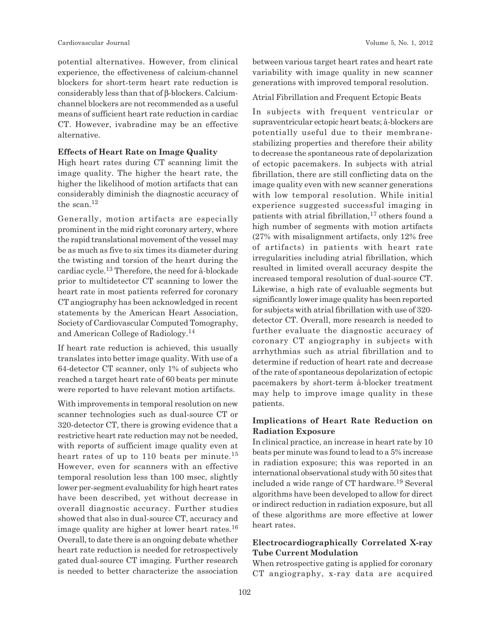potential alternatives. However, from clinical experience, the effectiveness of calcium-channel blockers for short-term heart rate reduction is considerably less than that of β-blockers. Calciumchannel blockers are not recommended as a useful means of sufficient heart rate reduction in cardiac CT. However, ivabradine may be an effective alternative.

#### **Effects of Heart Rate on Image Quality**

High heart rates during CT scanning limit the image quality. The higher the heart rate, the higher the likelihood of motion artifacts that can considerably diminish the diagnostic accuracy of the scan. $12$ 

Generally, motion artifacts are especially prominent in the mid right coronary artery, where the rapid translational movement of the vessel may be as much as five to six times its diameter during the twisting and torsion of the heart during the cardiac cycle.13 Therefore, the need for â-blockade prior to multidetector CT scanning to lower the heart rate in most patients referred for coronary CT angiography has been acknowledged in recent statements by the American Heart Association, Society of Cardiovascular Computed Tomography, and American College of Radiology.14

If heart rate reduction is achieved, this usually translates into better image quality. With use of a 64-detector CT scanner, only 1% of subjects who reached a target heart rate of 60 beats per minute were reported to have relevant motion artifacts.

With improvements in temporal resolution on new scanner technologies such as dual-source CT or 320-detector CT, there is growing evidence that a restrictive heart rate reduction may not be needed, with reports of sufficient image quality even at heart rates of up to 110 beats per minute.<sup>15</sup> However, even for scanners with an effective temporal resolution less than 100 msec, slightly lower per-segment evaluability for high heart rates have been described, yet without decrease in overall diagnostic accuracy. Further studies showed that also in dual-source CT, accuracy and image quality are higher at lower heart rates.<sup>16</sup> Overall, to date there is an ongoing debate whether heart rate reduction is needed for retrospectively gated dual-source CT imaging. Further research is needed to better characterize the association between various target heart rates and heart rate variability with image quality in new scanner generations with improved temporal resolution.

## Atrial Fibrillation and Frequent Ectopic Beats

In subjects with frequent ventricular or supraventricular ectopic heart beats; â-blockers are potentially useful due to their membranestabilizing properties and therefore their ability to decrease the spontaneous rate of depolarization of ectopic pacemakers. In subjects with atrial fibrillation, there are still conflicting data on the image quality even with new scanner generations with low temporal resolution. While initial experience suggested successful imaging in patients with atrial fibrillation,<sup>17</sup> others found a high number of segments with motion artifacts (27% with misalignment artifacts, only 12% free of artifacts) in patients with heart rate irregularities including atrial fibrillation, which resulted in limited overall accuracy despite the increased temporal resolution of dual-source CT. Likewise, a high rate of evaluable segments but significantly lower image quality has been reported for subjects with atrial fibrillation with use of 320 detector CT. Overall, more research is needed to further evaluate the diagnostic accuracy of coronary CT angiography in subjects with arrhythmias such as atrial fibrillation and to determine if reduction of heart rate and decrease of the rate of spontaneous depolarization of ectopic pacemakers by short-term â-blocker treatment may help to improve image quality in these patients.

## **Implications of Heart Rate Reduction on Radiation Exposure**

In clinical practice, an increase in heart rate by 10 beats per minute was found to lead to a 5% increase in radiation exposure; this was reported in an international observational study with 50 sites that included a wide range of CT hardware.19 Several algorithms have been developed to allow for direct or indirect reduction in radiation exposure, but all of these algorithms are more effective at lower heart rates.

# **Electrocardiographically Correlated X-ray Tube Current Modulation**

When retrospective gating is applied for coronary CT angiography, x-ray data are acquired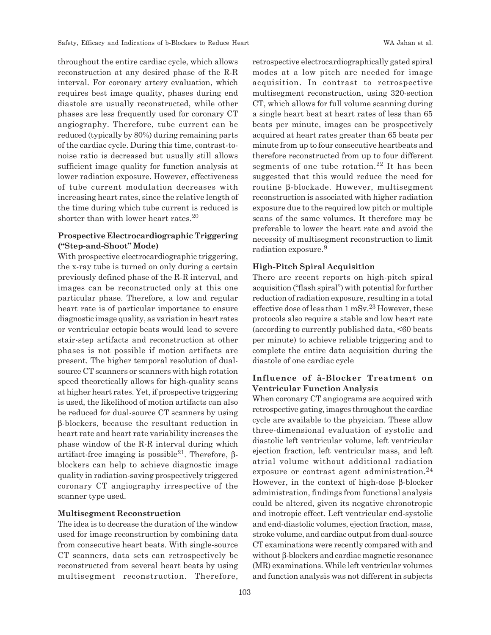throughout the entire cardiac cycle, which allows reconstruction at any desired phase of the R-R interval. For coronary artery evaluation, which requires best image quality, phases during end diastole are usually reconstructed, while other phases are less frequently used for coronary CT angiography. Therefore, tube current can be reduced (typically by 80%) during remaining parts of the cardiac cycle. During this time, contrast-tonoise ratio is decreased but usually still allows sufficient image quality for function analysis at lower radiation exposure. However, effectiveness of tube current modulation decreases with increasing heart rates, since the relative length of the time during which tube current is reduced is shorter than with lower heart rates.<sup>20</sup>

# **Prospective Electrocardiographic Triggering ("Step-and-Shoot" Mode)**

With prospective electrocardiographic triggering, the x-ray tube is turned on only during a certain previously defined phase of the R-R interval, and images can be reconstructed only at this one particular phase. Therefore, a low and regular heart rate is of particular importance to ensure diagnostic image quality, as variation in heart rates or ventricular ectopic beats would lead to severe stair-step artifacts and reconstruction at other phases is not possible if motion artifacts are present. The higher temporal resolution of dualsource CT scanners or scanners with high rotation speed theoretically allows for high-quality scans at higher heart rates. Yet, if prospective triggering is used, the likelihood of motion artifacts can also be reduced for dual-source CT scanners by using β-blockers, because the resultant reduction in heart rate and heart rate variability increases the phase window of the R-R interval during which artifact-free imaging is possible<sup>21</sup>. Therefore, βblockers can help to achieve diagnostic image quality in radiation-saving prospectively triggered coronary CT angiography irrespective of the scanner type used.

#### **Multisegment Reconstruction**

The idea is to decrease the duration of the window used for image reconstruction by combining data from consecutive heart beats. With single-source CT scanners, data sets can retrospectively be reconstructed from several heart beats by using multisegment reconstruction. Therefore, retrospective electrocardiographically gated spiral modes at a low pitch are needed for image acquisition. In contrast to retrospective multisegment reconstruction, using 320-section CT, which allows for full volume scanning during a single heart beat at heart rates of less than 65 beats per minute, images can be prospectively acquired at heart rates greater than 65 beats per minute from up to four consecutive heartbeats and therefore reconstructed from up to four different segments of one tube rotation.<sup>22</sup> It has been suggested that this would reduce the need for routine β-blockade. However, multisegment reconstruction is associated with higher radiation exposure due to the required low pitch or multiple scans of the same volumes. It therefore may be preferable to lower the heart rate and avoid the necessity of multisegment reconstruction to limit radiation exposure.<sup>9</sup>

#### **High-Pitch Spiral Acquisition**

There are recent reports on high-pitch spiral acquisition ("flash spiral") with potential for further reduction of radiation exposure, resulting in a total effective dose of less than  $1 \text{ mSv}^{23}$  However, these protocols also require a stable and low heart rate (according to currently published data, <60 beats per minute) to achieve reliable triggering and to complete the entire data acquisition during the diastole of one cardiac cycle

## **Influence of â-Blocker Treatment on Ventricular Function Analysis**

When coronary CT angiograms are acquired with retrospective gating, images throughout the cardiac cycle are available to the physician. These allow three-dimensional evaluation of systolic and diastolic left ventricular volume, left ventricular ejection fraction, left ventricular mass, and left atrial volume without additional radiation exposure or contrast agent administration.<sup>24</sup> However, in the context of high-dose β-blocker administration, findings from functional analysis could be altered, given its negative chronotropic and inotropic effect. Left ventricular end-systolic and end-diastolic volumes, ejection fraction, mass, stroke volume, and cardiac output from dual-source CT examinations were recently compared with and without β-blockers and cardiac magnetic resonance (MR) examinations. While left ventricular volumes and function analysis was not different in subjects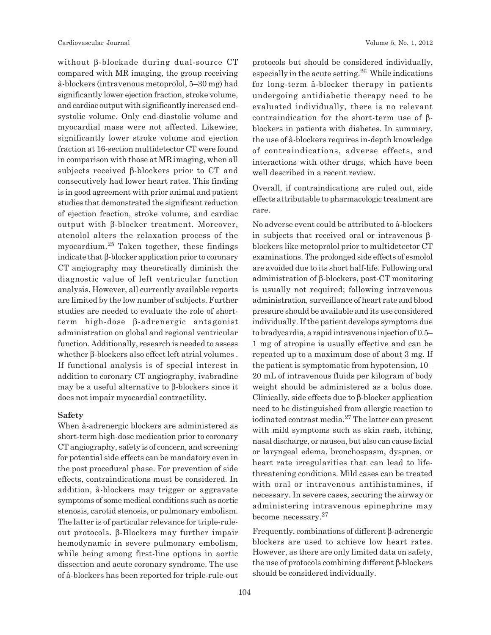without β-blockade during dual-source CT compared with MR imaging, the group receiving â-blockers (intravenous metoprolol, 5–30 mg) had significantly lower ejection fraction, stroke volume, and cardiac output with significantly increased endsystolic volume. Only end-diastolic volume and myocardial mass were not affected. Likewise, significantly lower stroke volume and ejection fraction at 16-section multidetector CT were found in comparison with those at MR imaging, when all subjects received β-blockers prior to CT and consecutively had lower heart rates. This finding is in good agreement with prior animal and patient studies that demonstrated the significant reduction of ejection fraction, stroke volume, and cardiac output with β-blocker treatment. Moreover, atenolol alters the relaxation process of the myocardium.25 Taken together, these findings indicate that β-blocker application prior to coronary CT angiography may theoretically diminish the diagnostic value of left ventricular function analysis. However, all currently available reports are limited by the low number of subjects. Further studies are needed to evaluate the role of shortterm high-dose β-adrenergic antagonist administration on global and regional ventricular function. Additionally, research is needed to assess whether β-blockers also effect left atrial volumes . If functional analysis is of special interest in addition to coronary CT angiography, ivabradine may be a useful alternative to β-blockers since it does not impair myocardial contractility.

## **Safety**

When â-adrenergic blockers are administered as short-term high-dose medication prior to coronary CT angiography, safety is of concern, and screening for potential side effects can be mandatory even in the post procedural phase. For prevention of side effects, contraindications must be considered. In addition, â-blockers may trigger or aggravate symptoms of some medical conditions such as aortic stenosis, carotid stenosis, or pulmonary embolism. The latter is of particular relevance for triple-ruleout protocols. β-Blockers may further impair hemodynamic in severe pulmonary embolism, while being among first-line options in aortic dissection and acute coronary syndrome. The use of â-blockers has been reported for triple-rule-out protocols but should be considered individually, especially in the acute setting.26 While indications for long-term â-blocker therapy in patients undergoing antidiabetic therapy need to be evaluated individually, there is no relevant contraindication for the short-term use of βblockers in patients with diabetes. In summary, the use of â-blockers requires in-depth knowledge of contraindications, adverse effects, and interactions with other drugs, which have been well described in a recent review.

Overall, if contraindications are ruled out, side effects attributable to pharmacologic treatment are rare.

No adverse event could be attributed to â-blockers in subjects that received oral or intravenous βblockers like metoprolol prior to multidetector CT examinations. The prolonged side effects of esmolol are avoided due to its short half-life. Following oral administration of β-blockers, post-CT monitoring is usually not required; following intravenous administration, surveillance of heart rate and blood pressure should be available and its use considered individually. If the patient develops symptoms due to bradycardia, a rapid intravenous injection of 0.5– 1 mg of atropine is usually effective and can be repeated up to a maximum dose of about 3 mg. If the patient is symptomatic from hypotension, 10– 20 mL of intravenous fluids per kilogram of body weight should be administered as a bolus dose. Clinically, side effects due to β-blocker application need to be distinguished from allergic reaction to iodinated contrast media.27 The latter can present with mild symptoms such as skin rash, itching, nasal discharge, or nausea, but also can cause facial or laryngeal edema, bronchospasm, dyspnea, or heart rate irregularities that can lead to lifethreatening conditions. Mild cases can be treated with oral or intravenous antihistamines, if necessary. In severe cases, securing the airway or administering intravenous epinephrine may become necessary.27

Frequently, combinations of different β-adrenergic blockers are used to achieve low heart rates. However, as there are only limited data on safety, the use of protocols combining different β-blockers should be considered individually.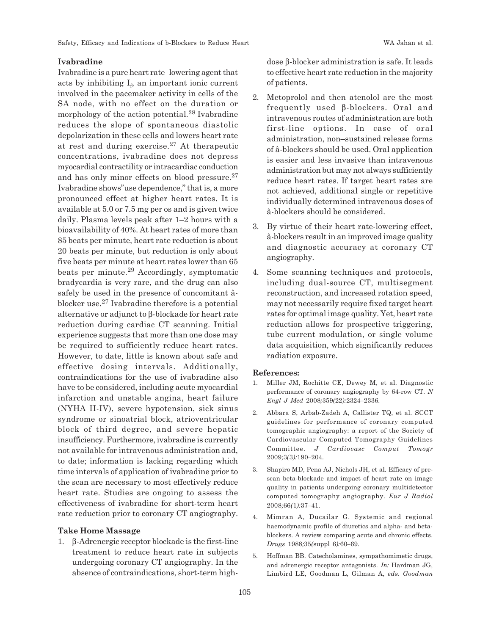## **Ivabradine**

Ivabradine is a pure heart rate–lowering agent that acts by inhibiting  $I_f$ , an important ionic current involved in the pacemaker activity in cells of the SA node, with no effect on the duration or morphology of the action potential.<sup>28</sup> Ivabradine reduces the slope of spontaneous diastolic depolarization in these cells and lowers heart rate at rest and during exercise.27 At therapeutic concentrations, ivabradine does not depress myocardial contractility or intracardiac conduction and has only minor effects on blood pressure.27 Ivabradine shows"use dependence," that is, a more pronounced effect at higher heart rates. It is available at 5.0 or 7.5 mg per os and is given twice daily. Plasma levels peak after 1–2 hours with a bioavailability of 40%. At heart rates of more than 85 beats per minute, heart rate reduction is about 20 beats per minute, but reduction is only about five beats per minute at heart rates lower than 65 beats per minute.29 Accordingly, symptomatic bradycardia is very rare, and the drug can also safely be used in the presence of concomitant âblocker use.27 Ivabradine therefore is a potential alternative or adjunct to β-blockade for heart rate reduction during cardiac CT scanning. Initial experience suggests that more than one dose may be required to sufficiently reduce heart rates. However, to date, little is known about safe and effective dosing intervals. Additionally, contraindications for the use of ivabradine also have to be considered, including acute myocardial infarction and unstable angina, heart failure (NYHA II-IV), severe hypotension, sick sinus syndrome or sinoatrial block, atrioventricular block of third degree, and severe hepatic insufficiency. Furthermore, ivabradine is currently not available for intravenous administration and, to date; information is lacking regarding which time intervals of application of ivabradine prior to the scan are necessary to most effectively reduce heart rate. Studies are ongoing to assess the effectiveness of ivabradine for short-term heart rate reduction prior to coronary CT angiography.

#### **Take Home Massage**

1. β-Adrenergic receptor blockade is the first-line treatment to reduce heart rate in subjects undergoing coronary CT angiography. In the absence of contraindications, short-term highdose β-blocker administration is safe. It leads to effective heart rate reduction in the majority of patients.

- 2. Metoprolol and then atenolol are the most frequently used β-blockers. Oral and intravenous routes of administration are both first-line options. In case of oral administration, non–sustained release forms of â-blockers should be used. Oral application is easier and less invasive than intravenous administration but may not always sufficiently reduce heart rates. If target heart rates are not achieved, additional single or repetitive individually determined intravenous doses of â-blockers should be considered.
- 3. By virtue of their heart rate-lowering effect, â-blockers result in an improved image quality and diagnostic accuracy at coronary CT angiography.
- 4. Some scanning techniques and protocols, including dual-source CT, multisegment reconstruction, and increased rotation speed, may not necessarily require fixed target heart rates for optimal image quality. Yet, heart rate reduction allows for prospective triggering, tube current modulation, or single volume data acquisition, which significantly reduces radiation exposure.

#### **References:**

- 1. Miller JM, Rochitte CE, Dewey M, et al*.* Diagnostic performance of coronary angiography by 64-row CT*. N Engl J Med* 2008*;*359*(*22*):*2324*–*2336*.*
- 2. Abbara S, Arbab-Zadeh A, Callister TQ, et al*.* SCCT guidelines for performance of coronary computed tomographic angiography: a report of the Society of Cardiovascular Computed Tomography Guidelines Committee*. J Cardiovasc Comput Tomogr* 2009*;*3*(*3*):*190*–*204*.*
- 3. Shapiro MD, Pena AJ, Nichols JH, et al*.* Efficacy of prescan beta-blockade and impact of heart rate on image quality in patients undergoing coronary multidetector computed tomography angiography*. Eur J Radiol* 2008*;*66*(*1*):*37*–*41*.*
- 4. Mimran A, Ducailar G*.* Systemic and regional haemodynamic profile of diuretics and alpha- and betablockers. A review comparing acute and chronic effects*. Drugs* 1988*;*35*(*suppl 6*):*60*–*69*.*
- 5. Hoffman BB*.* Catecholamines, sympathomimetic drugs, and adrenergic receptor antagonists*. In:* Hardman JG*,* Limbird LE*,* Goodman L*,* Gilman A*, eds. Goodman*